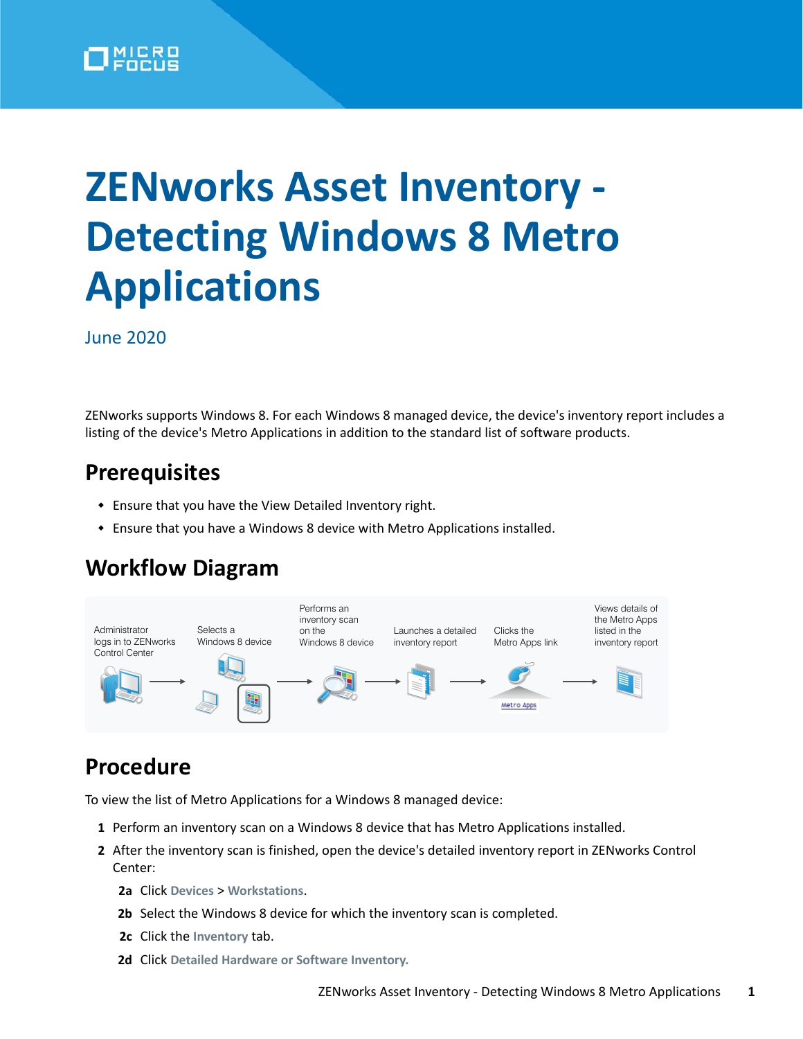

# **ZENworks Asset Inventory - Detecting Windows 8 Metro Applications**

June 2020

ZENworks supports Windows 8. For each Windows 8 managed device, the device's inventory report includes a listing of the device's Metro Applications in addition to the standard list of software products.

## **Prerequisites**

- Ensure that you have the View Detailed Inventory right.
- Ensure that you have a Windows 8 device with Metro Applications installed.

### **Workflow Diagram**



### **Procedure**

To view the list of Metro Applications for a Windows 8 managed device:

- **1** Perform an inventory scan on a Windows 8 device that has Metro Applications installed.
- **2** After the inventory scan is finished, open the device's detailed inventory report in ZENworks Control Center:
	- **2a** Click **Devices** > **Workstations**.
	- **2b** Select the Windows 8 device for which the inventory scan is completed.
	- **2c** Click the **Inventory** tab.
	- **2d** Click **Detailed Hardware or Software Inventory.**